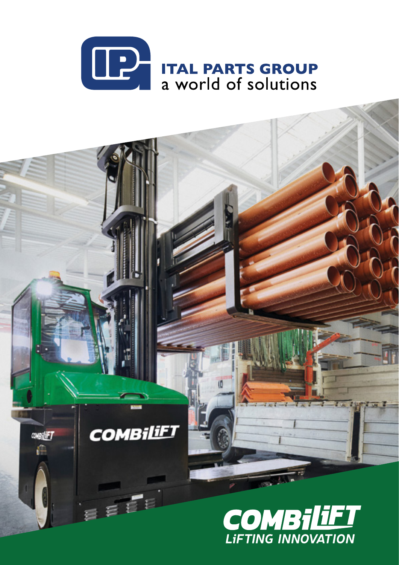

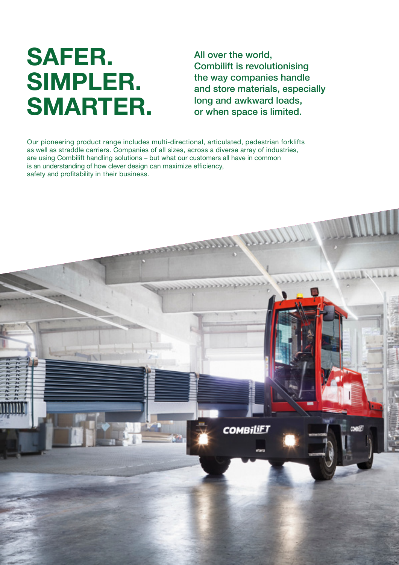## **SAFER. SIMPLER. SMARTER.**

All over the world, Combilift is revolutionising the way companies handle and store materials, especially long and awkward loads, or when space is limited.

Our pioneering product range includes multi-directional, articulated, pedestrian forklifts as well as straddle carriers. Companies of all sizes, across a diverse array of industries, are using Combilift handling solutions – but what our customers all have in common is an understanding of how clever design can maximize efficiency, safety and profitability in their business.

**PERSONA** 

**COMBILIET**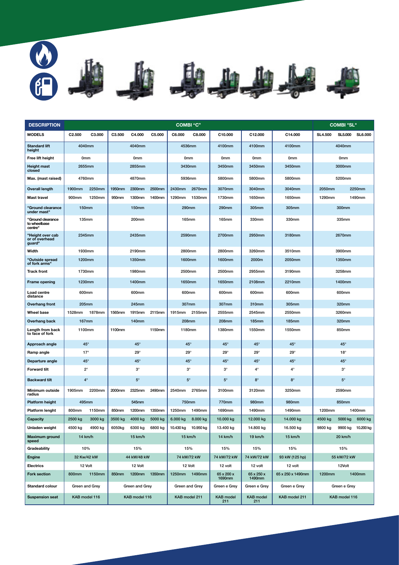

| <b>DESCRIPTION</b>                           |                  | <b>COMBI "C"</b> |                            |                 |                  | <b>COMBI "SL"</b> |                     |                         |                         |                   |                  |                |                |
|----------------------------------------------|------------------|------------------|----------------------------|-----------------|------------------|-------------------|---------------------|-------------------------|-------------------------|-------------------|------------------|----------------|----------------|
| <b>MODELS</b>                                | C2.500           | C3.000           | C3.500                     | C4.000          | C5.000           | C6.000            | C8.000              | C10.000                 | C12.000                 | C14.000           | <b>SL4.500</b>   | <b>SL5.000</b> | <b>SL6.000</b> |
| <b>Standard lift</b><br>height               | 4040mm           |                  |                            | 4040mm          |                  |                   | 4536mm              | 4100mm                  | 4100mm                  | 4100mm            | 4040mm           |                |                |
| Free lift height                             | 0 <sub>mm</sub>  |                  |                            | 0 <sub>mm</sub> |                  | 0 <sub>mm</sub>   |                     | 0 <sub>mm</sub>         | 0 <sub>mm</sub>         | 0 <sub>mm</sub>   | 0 <sub>mm</sub>  |                |                |
| <b>Height mast</b><br>closed                 | 2655mm           |                  |                            | 2855mm          |                  | 3430mm            |                     | 3450mm                  | 3450mm                  | 3450mm            | 3000mm           |                |                |
| Max. (mast raised)                           | 4760mm           |                  |                            | 4870mm          |                  |                   | 5936mm              | 5800mm                  | 5800mm                  | 5800mm            |                  | 5200mm         |                |
| <b>Overall length</b>                        | 1900mm           | 2250mm           | <b>1950mm</b>              | 2300mm          | 2500mm           | 2430mm            | 2670mm              | 3070mm                  | 3040mm                  | 3040mm            | 2050mm           |                | 2250mm         |
| Mast travel                                  | 900mm            | 1250mm           | 950mm                      | 1300mm          | 1400mm           | 1290mm            | 1530mm              | 1730mm                  | 1650mm                  | 1650mm            | 1290mm           |                | 1490mm         |
| "Ground clearance<br>under mast"             | <b>150mm</b>     |                  |                            | <b>150mm</b>    |                  |                   | <b>290mm</b>        | 290mm                   | 305mm                   | 305mm             | 300mm            |                |                |
| "Ground clearance<br>to wheelbase<br>centre" | 135mm            |                  |                            | 200mm           |                  |                   | <b>165mm</b>        | <b>165mm</b>            | 330mm                   | 330mm             | 335mm            |                |                |
| "Height over cab<br>or of overhead<br>guard" | 2345mm           |                  |                            | 2435mm          |                  | 2590mm            |                     | 2700mm                  | 2950mm                  | 3180mm            |                  | 2670mm         |                |
| Width                                        | 1930mm           |                  |                            | 2190mm          |                  | 2800mm            |                     | 2800mm                  | 3260mm                  | 3510mm            |                  | 3900mm         |                |
| "Outside spread<br>of fork arms"             | 1200mm           |                  |                            | 1350mm          |                  | 1600mm            |                     | 1600mm                  | 2000m                   | 2050mm            | 1350mm           |                |                |
| <b>Track front</b>                           | 1730mm           |                  |                            | 1980mm          |                  |                   | 2500mm              | 2500mm                  | 2955mm                  | 3190mm            |                  | 3258mm         |                |
| Frame opening                                | 1230mm           |                  |                            | 1400mm          |                  | 1650mm            |                     | 1650mm                  | 2108mm                  | 2210mm            | 1400mm           |                |                |
| Load centre<br>distance                      | 600mm            |                  |                            | 600mm           |                  | 600mm             |                     | 600mm                   | 600mm                   | 600mm             | 600mm            |                |                |
| Overhang front                               |                  | 205mm            |                            | 245mm           |                  | 307mm             |                     | 307mm                   | 310mm                   | 305mm             | 320mm            |                |                |
| <b>Wheel base</b>                            | 1528mm<br>1878mm |                  | 1565mm<br>1915mm<br>2115mm |                 | 2155mm<br>1915mm |                   | 2555mm              | 2545mm                  | 2550mm                  | 3260mm            |                  |                |                |
| Overhang back                                | 167mm            |                  |                            | <b>140mm</b>    |                  | 208mm             |                     | <b>208mm</b>            | <b>185mm</b>            | <b>185mm</b>      | 320mm            |                |                |
| Length from back<br>to face of fork          | 1100mm           |                  | 1100mm                     |                 | 1150mm           |                   | 1180mm              | 1380mm                  | 1550mm                  | 1550mm            |                  | 850mm          |                |
| Approach angle                               | $45^{\circ}$     |                  |                            | $45^{\circ}$    |                  |                   | 45°                 | $45^\circ$              | $45^{\circ}$            | $45^{\circ}$      | $45^{\circ}$     |                |                |
| Ramp angle                                   | $17^\circ$       |                  |                            | $29^\circ$      |                  |                   | $29^\circ$          | $29^\circ$              | $29^{\circ}$            | $29^\circ$        | $18^\circ$       |                |                |
| Departure angle                              | 45°              |                  |                            | $45^{\circ}$    |                  |                   | $45^{\circ}$        | $45^\circ$              | $45^{\circ}$            | 45°               | $45^\circ$       |                |                |
| <b>Forward tilt</b>                          | $2^{\circ}$      |                  |                            | $3^\circ$       |                  |                   | $3^\circ$           | $3^\circ$               | $4^\circ$               | $4^{\circ}$       | $3^\circ$        |                |                |
| <b>Backward tilt</b>                         | $4^\circ$        |                  |                            | $5^\circ$       |                  |                   | $5^{\circ}$         | $5^\circ$               | $8^\circ$               | $8^\circ$         | $5^{\circ}$      |                |                |
| Minimum outside<br>radius                    | 1905mm           | 2200mm           | 2000mm                     | 2325mm          | 2490mm           | 2540mm            | 2765mm              | 3100mm                  | 3120mm                  | 3250mm            |                  | 2590mm         |                |
| Platform height                              | 495mm            |                  |                            | 545mm           |                  | 750mm             |                     | 770mm                   | 980mm                   | 980mm             | 850mm            |                |                |
| Platform lenght                              | 800mm            | 1150mm           | 850mm                      | 1200mm          | 1350mm           | 1250mm            | 1490mm              | 1690mm                  | 1490mm                  | 1490mm            | 1200mm           |                | 1400mm         |
| Capacity                                     | 2500 kg          | 3000 kg          | 3500 kg                    | 4000 kg         | 5000 kg          | 6.000 kg          | 8.000 kg            | 10.000 kg               | 12.000 kg               | 14.000 kg         | 4500 kg          | 5000 kg        | 6000 kg        |
| Unladen weight                               | 4500 kg          | 4900 kg          | 6050kg                     | 6300 kg         | 6800 kg          |                   | 10.430 kg 10.950 kg | 13.400 kg               | 14.800 kg               | 16.500 kg         | 9800 kg          | 9900 kg        | 10.200 kg      |
| Maximum ground<br>speed                      |                  | 14 km/h          |                            | 15 km/h         |                  |                   | 15 km/h             | 14 km/h                 | 19 km/h                 | 15 km/h           | 20 km/h          |                |                |
| Gradeability                                 | 10%              |                  |                            | 15%             |                  |                   | 15%                 | 15%                     | 15%                     | 15%               | 15%              |                |                |
| Engine                                       | 32 Kw/42 kW      |                  | 44 kW/48 kW                |                 |                  | 74 kW/72 kW       |                     | 74 kW/72 kW             | 74 kW/72 kW             | 93 kW (125 hp)    | 55 kW/72 kW      |                |                |
| Electrics                                    |                  | 12 Volt          |                            | 12 Volt         |                  |                   | 12 Volt             | 12 volt                 | 12 volt                 | 12 volt           |                  | 12Volt         |                |
| <b>Fork section</b>                          | 800mm            | 1150mm           | 850mm                      | 1200mm          | 1350mm           | 1250mm            | 1490mm              | 65 x 200 x<br>1690mm    | 65 x 250 x<br>1490mm    | 65 x 250 x 1490mm | 1400mm<br>1200mm |                |                |
| Standard colour                              |                  | Green and Grey   | Green and Grey             |                 | Green and Grey   |                   | Green e Grey        | Green e Grey            | Green e Grey            | Green e Grey      |                  |                |                |
| <b>Suspension seat</b>                       | KAB model 116    |                  | KAB model 116              |                 |                  | KAB model 211     |                     | <b>KAB</b> model<br>211 | <b>KAB</b> model<br>211 | KAB model 211     | KAB model 116    |                |                |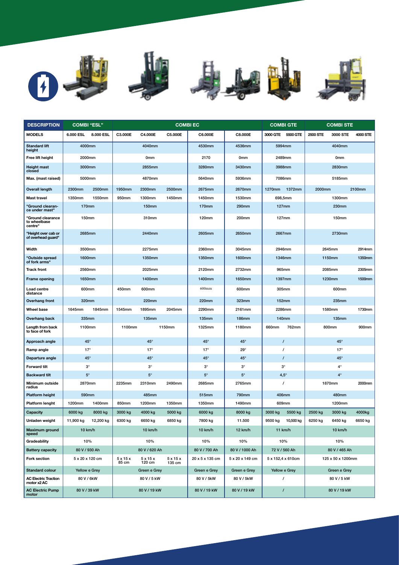









| <b>DESCRIPTION</b>                           | <b>COMBI "ESL"</b> |           |                |                                | <b>COMBIEC</b>  |                 |                 | <b>COMBI GTE</b> |                   | <b>COMBI STE</b> |                   |          |
|----------------------------------------------|--------------------|-----------|----------------|--------------------------------|-----------------|-----------------|-----------------|------------------|-------------------|------------------|-------------------|----------|
| <b>MODELS</b>                                | 6.000 ESL          | 8.000 ESL | C3.000E        | C4.000E                        | C5.000E         | C6.000E         | C8.000E         |                  | 3000 GTE 5500 GTE | 2500 STE         | 3000 STE          | 4000 STE |
| <b>Standard lift</b><br>height               | 4000mm             |           |                | 4040mm                         |                 | 4530mm          | 4536mm          |                  | 5994mm            | 4040mm           |                   |          |
| Free lift height                             | 2000mm             |           |                | 0 <sub>mm</sub>                |                 | 2170            | 0 <sub>mm</sub> |                  | 2489mm            |                  | 0 <sub>mm</sub>   |          |
| <b>Height mast</b><br>closed                 | 3000mm             |           |                | 2855mm                         |                 | 3280mm          | 3430mm          |                  | 3988mm            |                  | 2830mm            |          |
| Max. (mast raised)                           | 5000mm             |           |                | 4870mm                         |                 | 5640mm          | 5936mm          |                  | 7086mm            |                  | 5185mm            |          |
| <b>Overall length</b>                        | 2300mm             | 2500mm    | 1950mm         | 2300mm                         | 2500mm          | 2675mm          | 2670mm          | 1270mm           | 1372mm            | 2000mm           |                   | 2100mm   |
| <b>Mast travel</b>                           | 1350mm             | 1550mm    | 950mm          | 1300mm                         | 1450mm          | 1450mm          | 1530mm          |                  | 698,5mm           |                  | 1300mm            |          |
| "Ground clearan-<br>ce under mast"           | <b>170mm</b>       |           |                | <b>150mm</b>                   |                 | <b>170mm</b>    | 290mm           |                  | 127mm             |                  | 230mm             |          |
| "Ground clearance<br>to wheelbase<br>centre" | 150mm              |           |                | 310mm                          |                 | 120mm           | 200mm           |                  | 127mm             |                  | 150mm             |          |
| "Height over cab or<br>of overhead guard"    | 2685mm             |           |                | 2440mm                         |                 | 2605mm          | 2650mm          |                  | 2667mm            |                  | 2730mm            |          |
| Width                                        | 3500mm             |           |                | 2275mm                         |                 | 2360mm          | 3045mm          |                  | 2946mm            |                  | 2645mm            | 2914mm   |
| "Outside spread<br>of fork arms"             | 1600mm             |           |                | 1350mm                         |                 | 1350mm          | <b>1600mm</b>   |                  | 1346mm            |                  | 1150mm            | 1350mm   |
| <b>Track front</b>                           | 2560mm             |           |                | 2025mm                         |                 | 2120mm          | 2732mm          |                  | 965mm             | 2085mm           |                   | 2305mm   |
| Frame opening                                | 1650mm             |           |                | 1400mm                         |                 | 1400mm          | 1650mm          | 1397mm           |                   | 1230mm           |                   | 1500mm   |
| Load centre<br>distance                      | 600mm              |           | 450mm          | 600mm                          |                 | 600mm           | 600mm           | 305mm            |                   | 600mm            |                   |          |
| <b>Overhang front</b>                        | 320mm              |           |                | 220mm                          |                 | 220mm           | 323mm           | <b>152mm</b>     |                   | <b>235mm</b>     |                   |          |
| <b>Wheel base</b>                            | 1645mm             | 1845mm    | 1545mm         | 1895mm                         | 2045mm          | 2290mm          | 2161mm          | 2286mm           |                   |                  | 1580mm            | 1730mm   |
| Overhang back                                | 335mm              |           |                | <b>135mm</b>                   |                 | <b>135mm</b>    | <b>186mm</b>    |                  | <b>140mm</b>      |                  | <b>135mm</b>      |          |
| Length from back<br>to face of fork          | 1100mm             |           | 1100mm         |                                | 1150mm          | 1325mm          | 1180mm          | 660mm            | 762mm             |                  | 800mm             | 900mm    |
| Approach angle                               | 45°                |           |                | $45^\circ$                     |                 | $45^{\circ}$    | $45^\circ$      |                  | $\prime$          |                  | 45°               |          |
| Ramp angle                                   | $17^\circ$         |           |                | $17^\circ$                     |                 | $17^\circ$      | $29^\circ$      |                  | $\prime$          |                  | $17^\circ$        |          |
| Departure angle                              | 45°                |           |                | 45°                            |                 | $45^\circ$      | $45^\circ$      |                  | $\prime$          |                  | 45°               |          |
| <b>Forward tilt</b>                          | $3^\circ$          |           |                | $3^\circ$                      |                 | $3^\circ$       | $3^\circ$       |                  | $3^{\circ}$       | $4^{\circ}$      |                   |          |
| <b>Backward tilt</b>                         | $5^\circ$          |           |                | $5^\circ$                      |                 | $5^\circ$       | $5^\circ$       |                  | $4,5^{\circ}$     | $4^\circ$        |                   |          |
| Minimum outside<br>radius                    | 2870mm             |           | 2235mm         | 2310mm                         | 2490mm          | 2685mm          | 2765mm          |                  | 1870mm<br>7       |                  |                   | 2000mm   |
| <b>Platform height</b>                       | 590mm              |           |                | 485mm                          |                 | 515mm           | 790mm           |                  | 406mm             | 480mm            |                   |          |
| Platform lenght                              | 1200mm             | 1400mm    | 850mm          | 1200mm                         | 1350mm          | 1350mm          | 1490mm          | 609mm            |                   | 1200mm           |                   |          |
| Capacity                                     | 6000 kg            | 8000 kg   | 3000 kg        | 4000 kg                        | 5000 kg         | 6000 kg         | 8000 kg         | 3000 kg          | 5500 kg           | 2500 kg          | 3000 kg           | 4000kg   |
| Unladen weight                               | 11,900 kg          | 12,200 kg | 6300 kg        | 6650 kg                        | 6850 kg         | 7800 kg         | 11.500          | 9500 kg          | 10,500 kg         | 6250 kg          | 6450 kg           | 6650 kg  |
| <b>Maximum</b> ground<br>speed               | 10 km/h            |           |                | 10 km/h                        |                 | 10 km/h         | 12 km/h         |                  | 11 km/h           |                  | 10 km/h           |          |
| Gradeability                                 | 10%                |           |                | 10%                            |                 | 10%             | 10%             |                  | 10%               |                  | 10%               |          |
| <b>Battery capacity</b>                      | 80 V / 930 Ah      |           |                | 80 V / 620 Ah                  |                 | 80 V / 700 Ah   | 80 V / 1000 Ah  |                  | 72 V / 560 Ah     | 80 V / 465 Ah    |                   |          |
| <b>Fork section</b>                          | 5 x 20 x 120 cm    |           | 5x15x<br>85 cm | $5 \times 15 \times$<br>120 cm | 5x15x<br>135 cm | 20 x 5 x 135 cm | 5 x 20 x 149 cm |                  | 5 x 152,4 x 610cm |                  | 125 x 50 x 1200mm |          |
| <b>Standard colour</b>                       | Yellow e Grey      |           |                | Green e Grey                   |                 | Green e Grey    | Green e Grey    |                  | Yellow e Grey     |                  | Green e Grey      |          |
| <b>AC Electric Traction</b><br>motor x2 AC   | 80 V / 6kW         |           |                | 80 V / 5 kW                    |                 | 80 V / 5kW      | 80 V / 5kW      |                  | $\prime$          |                  | 80 V / 5 kW       |          |
| <b>AC Electric Pump</b><br>motor             | 80 V / 39 kW       |           |                | 80 V / 19 kW                   |                 | 80 V / 19 kW    | 80 V / 19 kW    |                  | $\prime$          |                  | 80 V / 19 kW      |          |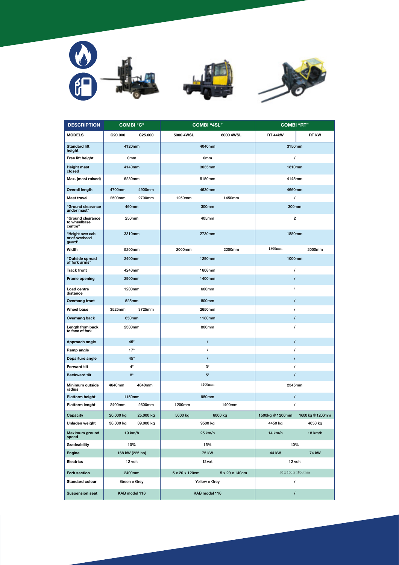

| <b>DESCRIPTION</b>                           | <b>COMBI</b> "C"     |                      |                | <b>COMBI "4SL"</b> | <b>COMBI "RT"</b>       |                  |  |
|----------------------------------------------|----------------------|----------------------|----------------|--------------------|-------------------------|------------------|--|
| <b>MODELS</b>                                | C <sub>20</sub> .000 | C <sub>25</sub> .000 | 5000 4WSL      | 6000 4WSL          | <b>RT 44kW</b>          | <b>RT kW</b>     |  |
| <b>Standard lift</b><br>height               | 4120mm               |                      |                | 4040mm             | 3150mm                  |                  |  |
| Free lift height                             | 0 <sub>mm</sub>      |                      |                | 0mm                | $\prime$                |                  |  |
| <b>Height mast</b><br>closed                 | 4140mm               |                      |                | 3035mm             | 1810mm                  |                  |  |
| Max. (mast raised)                           | 6230mm               |                      |                | 5150mm             | 4145mm                  |                  |  |
| <b>Overall length</b>                        | 4700mm               | 4900mm               |                | 4630mm             | 4660mm                  |                  |  |
| Mast travel                                  | 2500mm               | 2700mm               | 1250mm         | 1450mm             | $\prime$                |                  |  |
| "Ground clearance<br>under mast"             | 460mm                |                      |                | 300mm              | 300mm                   |                  |  |
| "Ground clearance<br>to wheelbase<br>centre" | 250mm                |                      |                | 405mm              | $\overline{\mathbf{2}}$ |                  |  |
| "Height over cab<br>or of overhead<br>guard" | 3310mm               |                      |                | 2730mm             | 1880mm                  |                  |  |
| Width                                        | 5200mm               |                      | 2000mm         | 2200mm             | 1800mm                  | 2000mm           |  |
| "Outside spread<br>of fork arms"             | 2400mm               |                      |                | 1290mm             | 1000mm                  |                  |  |
| <b>Track front</b>                           | 4240mm               |                      |                | 1608mm             | $\prime$                |                  |  |
| Frame opening                                | 2900mm               |                      |                | 1400mm             | $\prime$                |                  |  |
| Load centre<br>distance                      | 1200mm               |                      |                | 600mm              | $\sqrt{ }$              |                  |  |
| Overhang front                               | 525mm                |                      |                | 800mm              | $\prime$                |                  |  |
| Wheel base                                   | 3525mm               | 3725mm               |                | 2650mm             | $\prime$                |                  |  |
| Overhang back                                | 650mm                |                      |                | 1180mm             | $\prime$                |                  |  |
| Length from back<br>to face of fork          | 2300mm               |                      |                | 800mm              | $\prime$                |                  |  |
| Approach angle                               | $45^\circ$           |                      |                | $\prime$           | $\prime$                |                  |  |
| Ramp angle                                   | $17^\circ$           |                      |                | $\prime$           | $\prime$                |                  |  |
| Departure angle                              | $45^{\circ}$         |                      |                | $\prime$           | $\prime$                |                  |  |
| <b>Forward tilt</b>                          | $4^{\circ}$          |                      |                | $3^\circ$          | $\prime$                |                  |  |
| <b>Backward tilt</b>                         | $8^\circ$            |                      |                | $5^{\circ}$        | $\prime$                |                  |  |
| Minimum outside<br>radius                    | 4640mm               | 4840mm               |                | 4200mm             | 2345mm                  |                  |  |
| Platform height                              | 1150mm               |                      |                | 950mm              | $\prime$                |                  |  |
| Platform lenght                              | 2400mm               | 2600mm               | 1200mm         | 1400mm             | $\prime$                |                  |  |
| Capacity                                     | 20.000 kg            | 25.000 kg            | 5000 kg        | 6000 kg            | 1500kg @ 1200mm         | 1600 kg @ 1200mm |  |
| Unladen weight                               | 38.000 kg            | 39.000 kg            |                | 9500 kg            | 4450 kg                 | 4650 kg          |  |
| <b>Maximum ground</b><br>speed               | 19 km/h              |                      |                | 25 km/h            | 14 km/h                 | 18 km/h          |  |
| Gradeability                                 | 10%                  |                      |                | 15%                | 40%                     |                  |  |
| Engine                                       | 168 kW (225 hp)      |                      | 75 kW          |                    | 44 kW<br>74 kW          |                  |  |
| <b>Electrics</b>                             | 12 volt              |                      |                | 12 volt            | 12 volt                 |                  |  |
| <b>Fork section</b>                          | 2400mm               |                      | 5 x 20 x 120cm | 5 x 20 x 140cm     | 50 x 100 x 1830mm       |                  |  |
| Standard colour                              | Green e Grey         |                      |                | Yellow e Grey      | $\prime$                |                  |  |
| <b>Suspension seat</b>                       | KAB model 116        |                      |                | KAB model 116      | $\prime$                |                  |  |